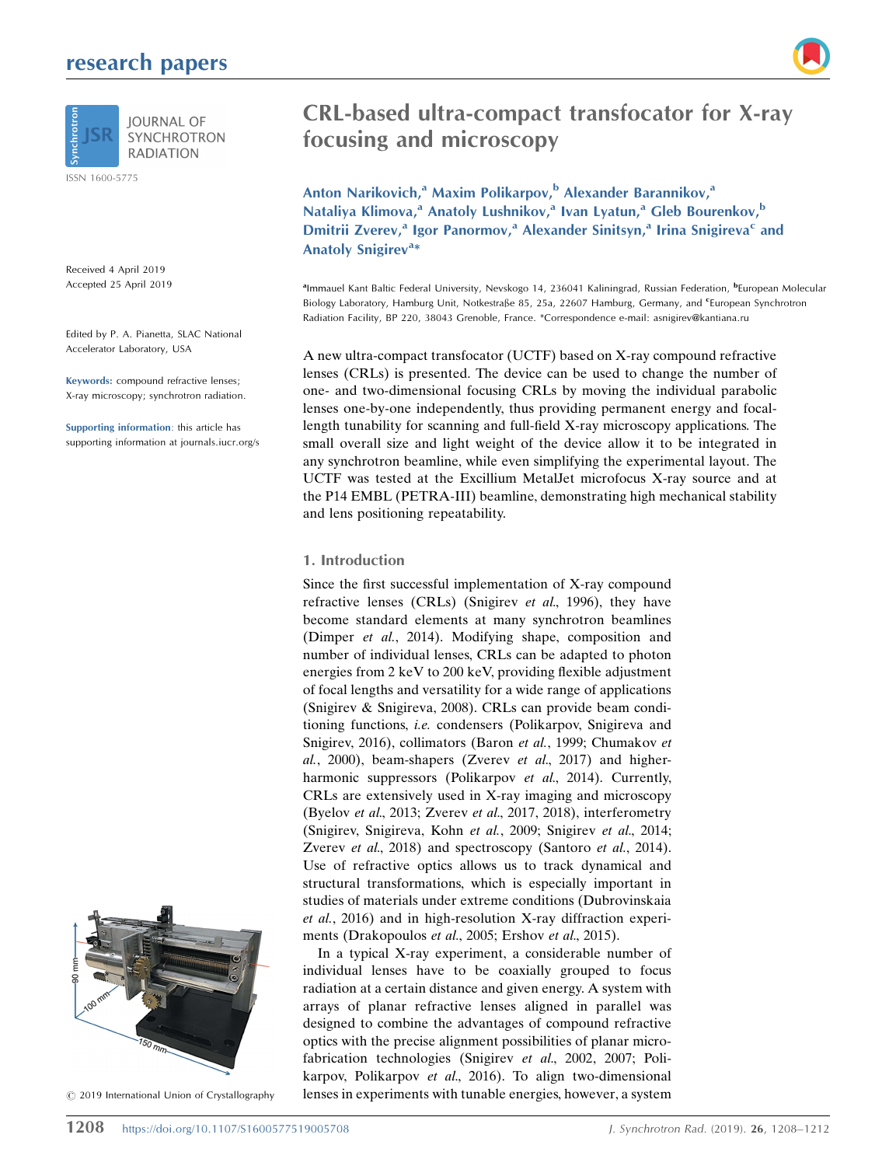# research papers



**IOURNAL OF SYNCHROTRON RADIATION** 

ISSN 1600-5775

Received 4 April 2019 Accepted 25 April 2019

Edited by P. A. Pianetta, SLAC National Accelerator Laboratory, USA

Keywords: compound refractive lenses; X-ray microscopy; synchrotron radiation.

Supporting information: this article has supporting information at journals.iucr.org/s



 $©$  2019 International Union of Crystallography



Anton Narikovich,<sup>a</sup> Maxim Polikarpov,<sup>b</sup> Alexander Barannikov,<sup>a</sup> Nataliya Klimova,<sup>a</sup> Anatoly Lushnikov,<sup>a</sup> Ivan Lyatun,<sup>a</sup> Gleb Bourenkov,<sup>b</sup> Dmitrii Zverev,<sup>a</sup> Igor Panormov,<sup>a</sup> Alexander Sinitsyn,<sup>a</sup> Irina Snigireva<sup>c</sup> and Anatoly Snigirev<sup>a\*</sup>

<sup>a</sup>lmmauel Kant Baltic Federal University, Nevskogo 14, 236041 Kaliningrad, Russian Federation, <sup>b</sup>European Molecular Biology Laboratory, Hamburg Unit, Notkestraße 85, 25a, 22607 Hamburg, Germany, and <sup>e</sup>European Synchrotron Radiation Facility, BP 220, 38043 Grenoble, France. \*Correspondence e-mail: asnigirev@kantiana.ru

A new ultra-compact transfocator (UCTF) based on X-ray compound refractive lenses (CRLs) is presented. The device can be used to change the number of one- and two-dimensional focusing CRLs by moving the individual parabolic lenses one-by-one independently, thus providing permanent energy and focallength tunability for scanning and full-field X-ray microscopy applications. The small overall size and light weight of the device allow it to be integrated in any synchrotron beamline, while even simplifying the experimental layout. The UCTF was tested at the Excillium MetalJet microfocus X-ray source and at the P14 EMBL (PETRA-III) beamline, demonstrating high mechanical stability and lens positioning repeatability.

## 1. Introduction

Since the first successful implementation of X-ray compound refractive lenses (CRLs) (Snigirev et al., 1996), they have become standard elements at many synchrotron beamlines (Dimper et al., 2014). Modifying shape, composition and number of individual lenses, CRLs can be adapted to photon energies from 2 keV to 200 keV, providing flexible adjustment of focal lengths and versatility for a wide range of applications (Snigirev & Snigireva, 2008). CRLs can provide beam conditioning functions, i.e. condensers (Polikarpov, Snigireva and Snigirev, 2016), collimators (Baron et al., 1999; Chumakov et  $al., 2000),$  beam-shapers (Zverev et  $al., 2017)$  and higherharmonic suppressors (Polikarpov et al., 2014). Currently, CRLs are extensively used in X-ray imaging and microscopy (Byelov et al., 2013; Zverev et al., 2017, 2018), interferometry (Snigirev, Snigireva, Kohn et al., 2009; Snigirev et al., 2014; Zverev et al., 2018) and spectroscopy (Santoro et al., 2014). Use of refractive optics allows us to track dynamical and structural transformations, which is especially important in studies of materials under extreme conditions (Dubrovinskaia et al., 2016) and in high-resolution X-ray diffraction experiments (Drakopoulos et al., 2005; Ershov et al., 2015).

In a typical X-ray experiment, a considerable number of individual lenses have to be coaxially grouped to focus radiation at a certain distance and given energy. A system with arrays of planar refractive lenses aligned in parallel was designed to combine the advantages of compound refractive optics with the precise alignment possibilities of planar microfabrication technologies (Snigirev et al., 2002, 2007; Polikarpov, Polikarpov et al., 2016). To align two-dimensional lenses in experiments with tunable energies, however, a system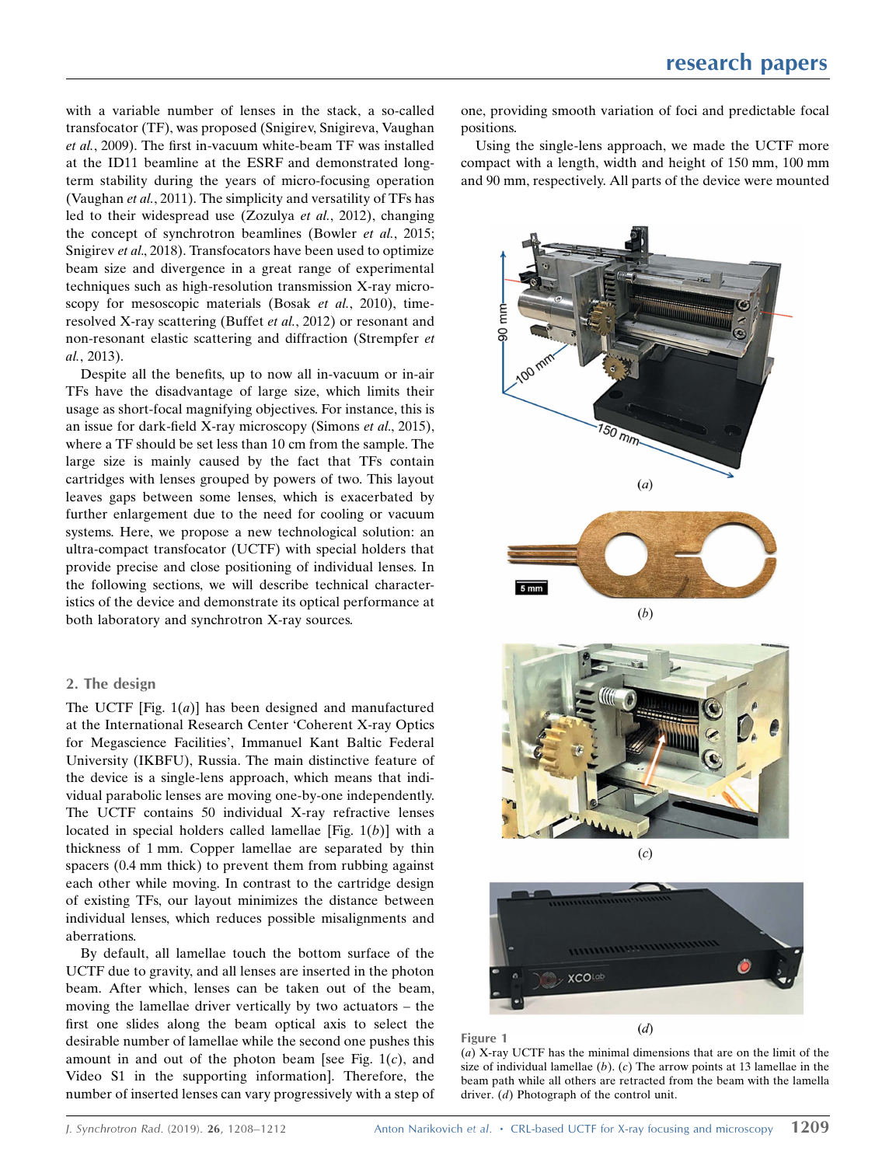with a variable number of lenses in the stack, a so-called transfocator (TF), was proposed (Snigirev, Snigireva, Vaughan et al., 2009). The first in-vacuum white-beam TF was installed at the ID11 beamline at the ESRF and demonstrated longterm stability during the years of micro-focusing operation (Vaughan et al., 2011). The simplicity and versatility of TFs has led to their widespread use (Zozulya et al., 2012), changing the concept of synchrotron beamlines (Bowler et al., 2015; Snigirev et al., 2018). Transfocators have been used to optimize beam size and divergence in a great range of experimental techniques such as high-resolution transmission X-ray microscopy for mesoscopic materials (Bosak et al., 2010), timeresolved X-ray scattering (Buffet et al., 2012) or resonant and non-resonant elastic scattering and diffraction (Strempfer et al., 2013).

Despite all the benefits, up to now all in-vacuum or in-air TFs have the disadvantage of large size, which limits their usage as short-focal magnifying objectives. For instance, this is an issue for dark-field X-ray microscopy (Simons et al., 2015), where a TF should be set less than 10 cm from the sample. The large size is mainly caused by the fact that TFs contain cartridges with lenses grouped by powers of two. This layout leaves gaps between some lenses, which is exacerbated by further enlargement due to the need for cooling or vacuum systems. Here, we propose a new technological solution: an ultra-compact transfocator (UCTF) with special holders that provide precise and close positioning of individual lenses. In the following sections, we will describe technical characteristics of the device and demonstrate its optical performance at both laboratory and synchrotron X-ray sources.

## 2. The design

The UCTF [Fig.  $1(a)$ ] has been designed and manufactured at the International Research Center 'Coherent X-ray Optics for Megascience Facilities', Immanuel Kant Baltic Federal University (IKBFU), Russia. The main distinctive feature of the device is a single-lens approach, which means that individual parabolic lenses are moving one-by-one independently. The UCTF contains 50 individual X-ray refractive lenses located in special holders called lamellae [Fig.  $1(b)$ ] with a thickness of 1 mm. Copper lamellae are separated by thin spacers (0.4 mm thick) to prevent them from rubbing against each other while moving. In contrast to the cartridge design of existing TFs, our layout minimizes the distance between individual lenses, which reduces possible misalignments and aberrations.

By default, all lamellae touch the bottom surface of the UCTF due to gravity, and all lenses are inserted in the photon beam. After which, lenses can be taken out of the beam, moving the lamellae driver vertically by two actuators – the first one slides along the beam optical axis to select the desirable number of lamellae while the second one pushes this amount in and out of the photon beam [see Fig.  $1(c)$ , and Video S1 in the supporting information]. Therefore, the number of inserted lenses can vary progressively with a step of one, providing smooth variation of foci and predictable focal positions.

Using the single-lens approach, we made the UCTF more compact with a length, width and height of 150 mm, 100 mm and 90 mm, respectively. All parts of the device were mounted



(a) X-ray UCTF has the minimal dimensions that are on the limit of the size of individual lamellae  $(b)$ .  $(c)$  The arrow points at 13 lamellae in the beam path while all others are retracted from the beam with the lamella driver. (d) Photograph of the control unit.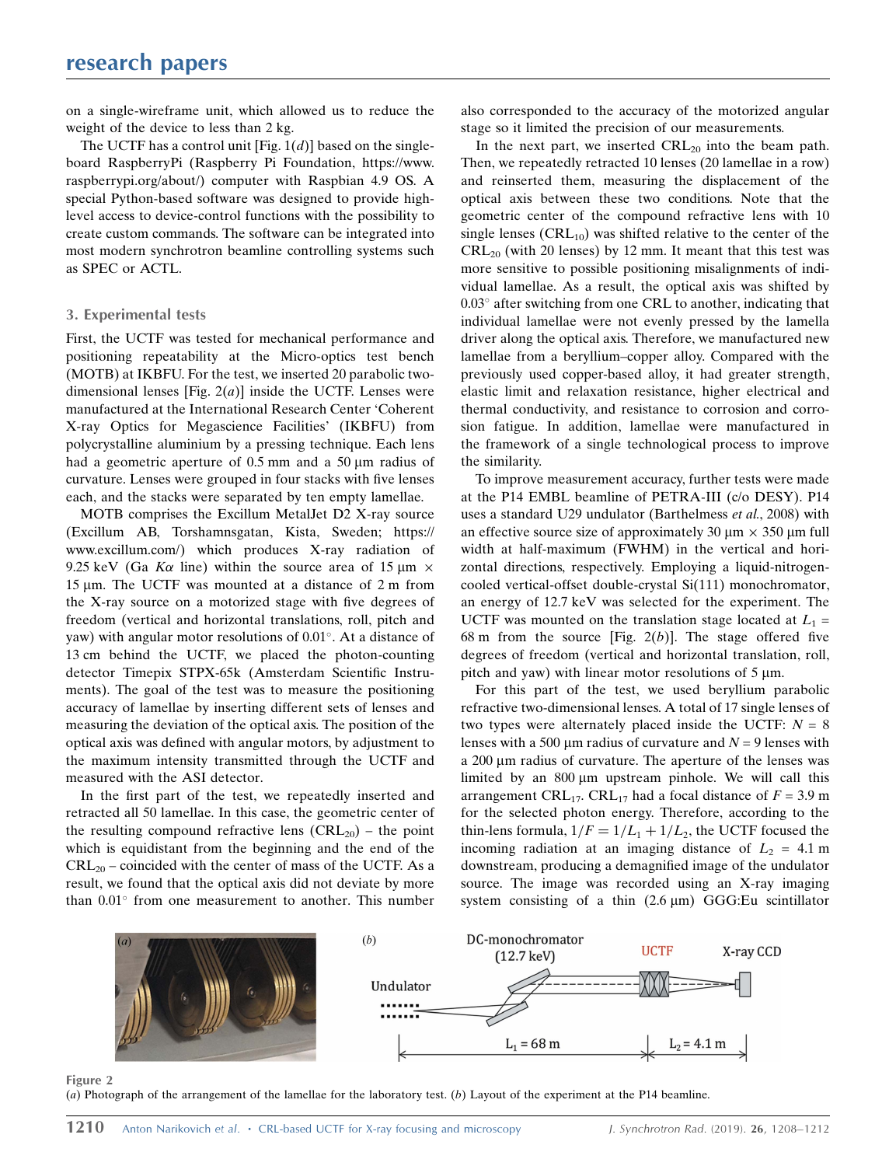on a single-wireframe unit, which allowed us to reduce the weight of the device to less than 2 kg.

The UCTF has a control unit [Fig.  $1(d)$ ] based on the singleboard RaspberryPi (Raspberry Pi Foundation, https://www. raspberrypi.org/about/) computer with Raspbian 4.9 OS. A special Python-based software was designed to provide highlevel access to device-control functions with the possibility to create custom commands. The software can be integrated into most modern synchrotron beamline controlling systems such as SPEC or ACTL.

#### 3. Experimental tests

First, the UCTF was tested for mechanical performance and positioning repeatability at the Micro-optics test bench (MOTB) at IKBFU. For the test, we inserted 20 parabolic twodimensional lenses [Fig.  $2(a)$ ] inside the UCTF. Lenses were manufactured at the International Research Center 'Coherent X-ray Optics for Megascience Facilities' (IKBFU) from polycrystalline aluminium by a pressing technique. Each lens had a geometric aperture of  $0.5$  mm and a  $50 \mu m$  radius of curvature. Lenses were grouped in four stacks with five lenses each, and the stacks were separated by ten empty lamellae.

MOTB comprises the Excillum MetalJet D2 X-ray source (Excillum AB, Torshamnsgatan, Kista, Sweden; https:// www.excillum.com/) which produces X-ray radiation of 9.25 keV (Ga K $\alpha$  line) within the source area of 15  $\mu$ m  $\times$ 15  $\mu$ m. The UCTF was mounted at a distance of 2 m from the X-ray source on a motorized stage with five degrees of freedom (vertical and horizontal translations, roll, pitch and yaw) with angular motor resolutions of  $0.01^{\circ}$ . At a distance of 13 cm behind the UCTF, we placed the photon-counting detector Timepix STPX-65k (Amsterdam Scientific Instruments). The goal of the test was to measure the positioning accuracy of lamellae by inserting different sets of lenses and measuring the deviation of the optical axis. The position of the optical axis was defined with angular motors, by adjustment to the maximum intensity transmitted through the UCTF and measured with the ASI detector.

In the first part of the test, we repeatedly inserted and retracted all 50 lamellae. In this case, the geometric center of the resulting compound refractive lens  $(CRL_{20})$  – the point which is equidistant from the beginning and the end of the  $CRL_{20}$  – coincided with the center of mass of the UCTF. As a result, we found that the optical axis did not deviate by more than  $0.01^{\circ}$  from one measurement to another. This number

also corresponded to the accuracy of the motorized angular stage so it limited the precision of our measurements.

In the next part, we inserted  $CRL_{20}$  into the beam path. Then, we repeatedly retracted 10 lenses (20 lamellae in a row) and reinserted them, measuring the displacement of the optical axis between these two conditions. Note that the geometric center of the compound refractive lens with 10 single lenses  $(CRL_{10})$  was shifted relative to the center of the  $CRL_{20}$  (with 20 lenses) by 12 mm. It meant that this test was more sensitive to possible positioning misalignments of individual lamellae. As a result, the optical axis was shifted by  $0.03^{\circ}$  after switching from one CRL to another, indicating that individual lamellae were not evenly pressed by the lamella driver along the optical axis. Therefore, we manufactured new lamellae from a beryllium–copper alloy. Compared with the previously used copper-based alloy, it had greater strength, elastic limit and relaxation resistance, higher electrical and thermal conductivity, and resistance to corrosion and corrosion fatigue. In addition, lamellae were manufactured in the framework of a single technological process to improve the similarity.

To improve measurement accuracy, further tests were made at the P14 EMBL beamline of PETRA-III (c/o DESY). P14 uses a standard U29 undulator (Barthelmess et al., 2008) with an effective source size of approximately 30  $\mu$ m  $\times$  350  $\mu$ m full width at half-maximum (FWHM) in the vertical and horizontal directions, respectively. Employing a liquid-nitrogencooled vertical-offset double-crystal Si(111) monochromator, an energy of 12.7 keV was selected for the experiment. The UCTF was mounted on the translation stage located at  $L_1$  = 68 m from the source [Fig.  $2(b)$ ]. The stage offered five degrees of freedom (vertical and horizontal translation, roll, pitch and yaw) with linear motor resolutions of  $5 \mu m$ .

For this part of the test, we used beryllium parabolic refractive two-dimensional lenses. A total of 17 single lenses of two types were alternately placed inside the UCTF:  $N = 8$ lenses with a 500  $\mu$ m radius of curvature and  $N = 9$  lenses with a 200 µm radius of curvature. The aperture of the lenses was limited by an  $800 \mu m$  upstream pinhole. We will call this arrangement CRL<sub>17</sub>. CRL<sub>17</sub> had a focal distance of  $F = 3.9$  m for the selected photon energy. Therefore, according to the thin-lens formula,  $1/F = 1/L_1 + 1/L_2$ , the UCTF focused the incoming radiation at an imaging distance of  $L_2 = 4.1$  m downstream, producing a demagnified image of the undulator source. The image was recorded using an X-ray imaging system consisting of a thin  $(2.6 \,\mu\text{m})$  GGG:Eu scintillator



Figure 2

(a) Photograph of the arrangement of the lamellae for the laboratory test. (b) Layout of the experiment at the P14 beamline.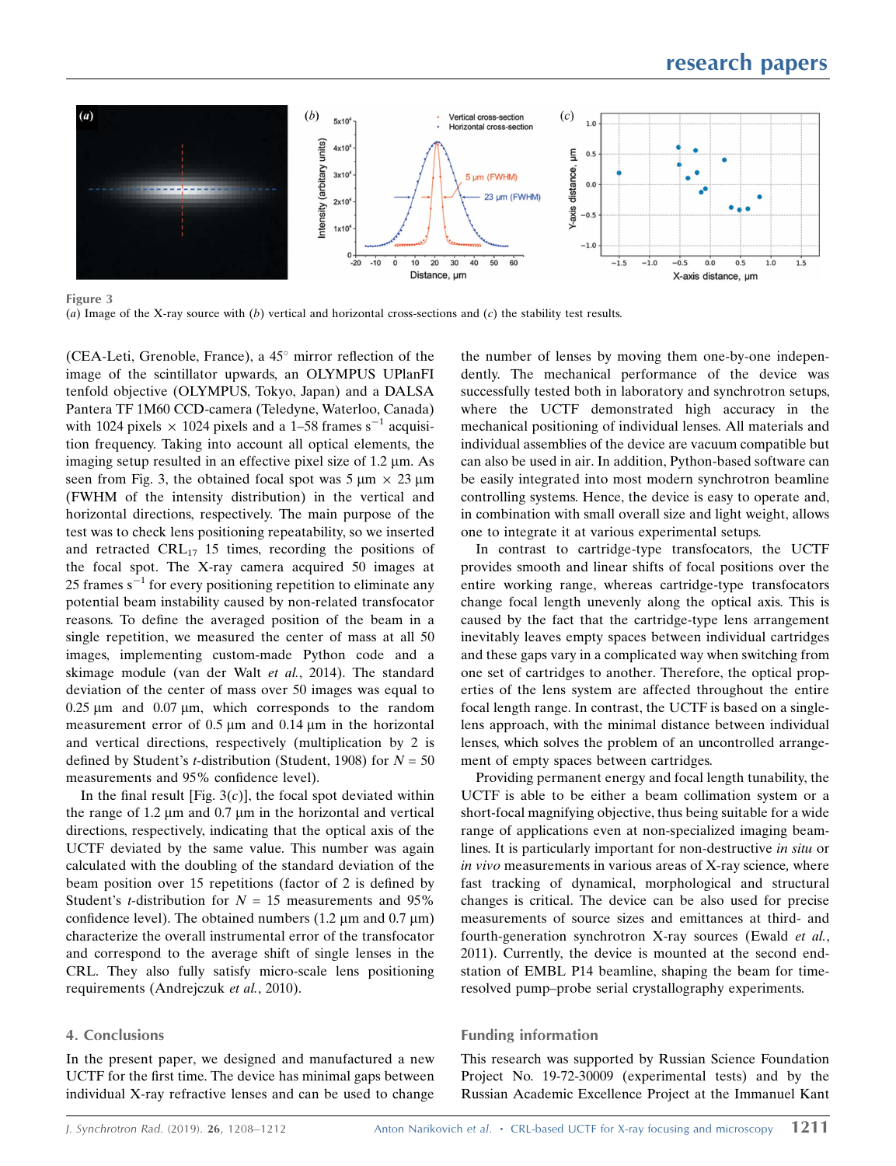

Figure 3 (a) Image of the X-ray source with  $(b)$  vertical and horizontal cross-sections and  $(c)$  the stability test results.

(CEA-Leti, Grenoble, France), a  $45^{\circ}$  mirror reflection of the image of the scintillator upwards, an OLYMPUS UPlanFI tenfold objective (OLYMPUS, Tokyo, Japan) and a DALSA Pantera TF 1M60 CCD-camera (Teledyne, Waterloo, Canada) with 1024 pixels  $\times$  1024 pixels and a 1–58 frames s<sup>-1</sup> acquisition frequency. Taking into account all optical elements, the imaging setup resulted in an effective pixel size of  $1.2 \mu$ m. As seen from Fig. 3, the obtained focal spot was  $5 \mu m \times 23 \mu m$ (FWHM of the intensity distribution) in the vertical and horizontal directions, respectively. The main purpose of the test was to check lens positioning repeatability, so we inserted and retracted  $CRL_{17}$  15 times, recording the positions of the focal spot. The X-ray camera acquired 50 images at 25 frames  $s^{-1}$  for every positioning repetition to eliminate any potential beam instability caused by non-related transfocator reasons. To define the averaged position of the beam in a single repetition, we measured the center of mass at all 50 images, implementing custom-made Python code and a skimage module (van der Walt et al., 2014). The standard deviation of the center of mass over 50 images was equal to  $0.25 \mu m$  and  $0.07 \mu m$ , which corresponds to the random measurement error of  $0.5 \mu m$  and  $0.14 \mu m$  in the horizontal and vertical directions, respectively (multiplication by 2 is defined by Student's *t*-distribution (Student, 1908) for  $N = 50$ measurements and 95% confidence level).

In the final result [Fig.  $3(c)$ ], the focal spot deviated within the range of  $1.2 \mu m$  and  $0.7 \mu m$  in the horizontal and vertical directions, respectively, indicating that the optical axis of the UCTF deviated by the same value. This number was again calculated with the doubling of the standard deviation of the beam position over 15 repetitions (factor of 2 is defined by Student's *t*-distribution for  $N = 15$  measurements and 95% confidence level). The obtained numbers  $(1.2 \mu m \text{ and } 0.7 \mu m)$ characterize the overall instrumental error of the transfocator and correspond to the average shift of single lenses in the CRL. They also fully satisfy micro-scale lens positioning requirements (Andrejczuk et al., 2010).

### 4. Conclusions

In the present paper, we designed and manufactured a new UCTF for the first time. The device has minimal gaps between individual X-ray refractive lenses and can be used to change

the number of lenses by moving them one-by-one independently. The mechanical performance of the device was successfully tested both in laboratory and synchrotron setups, where the UCTF demonstrated high accuracy in the mechanical positioning of individual lenses. All materials and individual assemblies of the device are vacuum compatible but can also be used in air. In addition, Python-based software can be easily integrated into most modern synchrotron beamline controlling systems. Hence, the device is easy to operate and, in combination with small overall size and light weight, allows one to integrate it at various experimental setups.

In contrast to cartridge-type transfocators, the UCTF provides smooth and linear shifts of focal positions over the entire working range, whereas cartridge-type transfocators change focal length unevenly along the optical axis. This is caused by the fact that the cartridge-type lens arrangement inevitably leaves empty spaces between individual cartridges and these gaps vary in a complicated way when switching from one set of cartridges to another. Therefore, the optical properties of the lens system are affected throughout the entire focal length range. In contrast, the UCTF is based on a singlelens approach, with the minimal distance between individual lenses, which solves the problem of an uncontrolled arrangement of empty spaces between cartridges.

Providing permanent energy and focal length tunability, the UCTF is able to be either a beam collimation system or a short-focal magnifying objective, thus being suitable for a wide range of applications even at non-specialized imaging beamlines. It is particularly important for non-destructive in situ or in vivo measurements in various areas of X-ray science, where fast tracking of dynamical, morphological and structural changes is critical. The device can be also used for precise measurements of source sizes and emittances at third- and fourth-generation synchrotron X-ray sources (Ewald et al., 2011). Currently, the device is mounted at the second endstation of EMBL P14 beamline, shaping the beam for timeresolved pump–probe serial crystallography experiments.

## Funding information

This research was supported by Russian Science Foundation Project No. 19-72-30009 (experimental tests) and by the Russian Academic Excellence Project at the Immanuel Kant